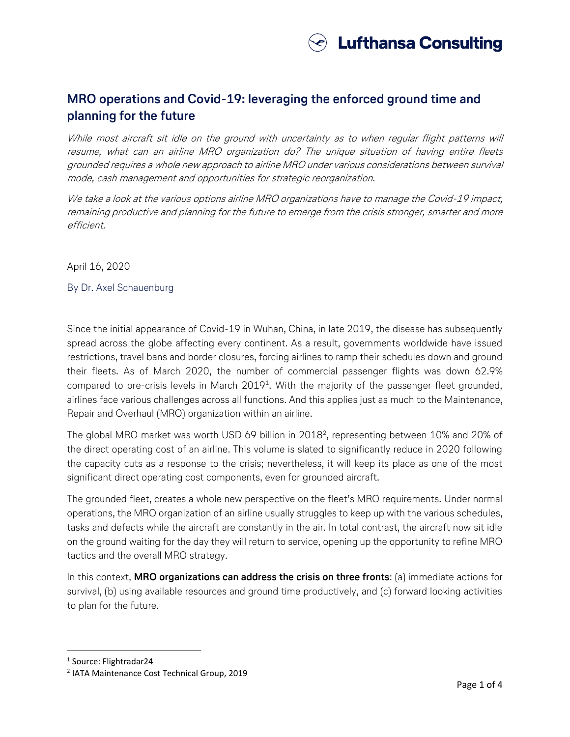

## **MRO operations and Covid-19: leveraging the enforced ground time and planning for the future**

While most aircraft sit idle on the ground with uncertainty as to when regular flight patterns will resume, what can an airline MRO organization do? The unique situation of having entire fleets grounded requires a whole new approach to airline MRO under various considerations between survival mode, cash management and opportunities for strategic reorganization.

We take a look at the various options airline MRO organizations have to manage the Covid-19 impact, remaining productive and planning for the future to emerge from the crisis stronger, smarter and more efficient.

April 16, 2020

By Dr. Axel Schauenburg

Since the initial appearance of Covid-19 in Wuhan, China, in late 2019, the disease has subsequently spread across the globe affecting every continent. As a result, governments worldwide have issued restrictions, travel bans and border closures, forcing airlines to ramp their schedules down and ground their fleets. As of March 2020, the number of commercial passenger flights was down 62.9% compared to pre-crisis levels in March 2019<sup>1</sup>. With the majority of the passenger fleet grounded, airlines face various challenges across all functions. And this applies just as much to the Maintenance, Repair and Overhaul (MRO) organization within an airline.

The global MRO market was worth USD 69 billion in 2018<sup>2</sup>, representing between 10% and 20% of the direct operating cost of an airline. This volume is slated to significantly reduce in 2020 following the capacity cuts as a response to the crisis; nevertheless, it will keep its place as one of the most significant direct operating cost components, even for grounded aircraft.

The grounded fleet, creates a whole new perspective on the fleet's MRO requirements. Under normal operations, the MRO organization of an airline usually struggles to keep up with the various schedules, tasks and defects while the aircraft are constantly in the air. In total contrast, the aircraft now sit idle on the ground waiting for the day they will return to service, opening up the opportunity to refine MRO tactics and the overall MRO strategy.

In this context, **MRO organizations can address the crisis on three fronts**: (a) immediate actions for survival, (b) using available resources and ground time productively, and (c) forward looking activities to plan for the future.

1 Source: Flightradar24

 $\overline{\phantom{a}}$ 

<sup>2</sup> IATA Maintenance Cost Technical Group, 2019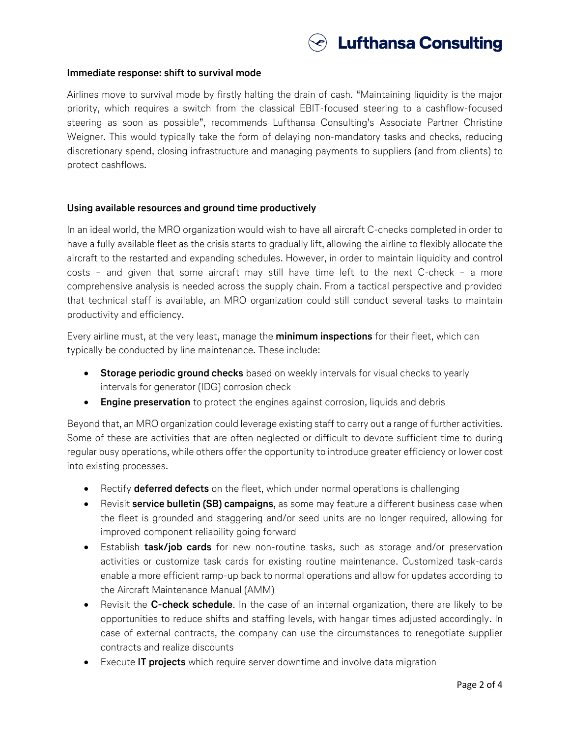

## **Immediate response: shift to survival mode**

Airlines move to survival mode by firstly halting the drain of cash. "Maintaining liquidity is the major priority, which requires a switch from the classical EBIT-focused steering to a cashflow-focused steering as soon as possible", recommends Lufthansa Consulting's Associate Partner Christine Weigner. This would typically take the form of delaying non-mandatory tasks and checks, reducing discretionary spend, closing infrastructure and managing payments to suppliers (and from clients) to protect cashflows.

## **Using available resources and ground time productively**

In an ideal world, the MRO organization would wish to have all aircraft C-checks completed in order to have a fully available fleet as the crisis starts to gradually lift, allowing the airline to flexibly allocate the aircraft to the restarted and expanding schedules. However, in order to maintain liquidity and control costs – and given that some aircraft may still have time left to the next C-check – a more comprehensive analysis is needed across the supply chain. From a tactical perspective and provided that technical staff is available, an MRO organization could still conduct several tasks to maintain productivity and efficiency.

Every airline must, at the very least, manage the **minimum inspections** for their fleet, which can typically be conducted by line maintenance. These include:

- **Storage periodic ground checks** based on weekly intervals for visual checks to yearly intervals for generator (IDG) corrosion check
- **Engine preservation** to protect the engines against corrosion, liquids and debris

Beyond that, an MRO organization could leverage existing staff to carry out a range of further activities. Some of these are activities that are often neglected or difficult to devote sufficient time to during regular busy operations, while others offer the opportunity to introduce greater efficiency or lower cost into existing processes.

- Rectify **deferred defects** on the fleet, which under normal operations is challenging
- Revisit **service bulletin (SB) campaigns**, as some may feature a different business case when the fleet is grounded and staggering and/or seed units are no longer required, allowing for improved component reliability going forward
- Establish **task/job cards** for new non-routine tasks, such as storage and/or preservation activities or customize task cards for existing routine maintenance. Customized task-cards enable a more efficient ramp-up back to normal operations and allow for updates according to the Aircraft Maintenance Manual (AMM)
- Revisit the **C-check schedule**. In the case of an internal organization, there are likely to be opportunities to reduce shifts and staffing levels, with hangar times adjusted accordingly. In case of external contracts, the company can use the circumstances to renegotiate supplier contracts and realize discounts
- Execute **IT projects** which require server downtime and involve data migration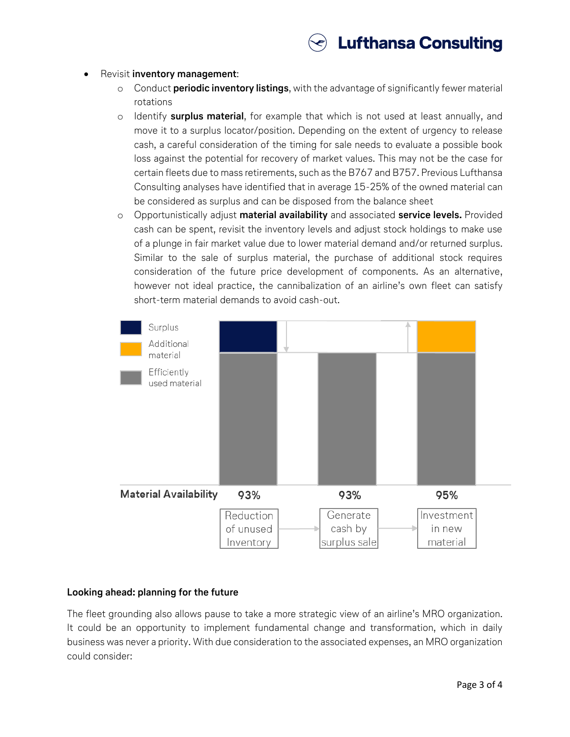

- Revisit **inventory management**:
	- o Conduct **periodic inventory listings**, with the advantage of significantly fewer material rotations
	- o Identify **surplus material**, for example that which is not used at least annually, and move it to a surplus locator/position. Depending on the extent of urgency to release cash, a careful consideration of the timing for sale needs to evaluate a possible book loss against the potential for recovery of market values. This may not be the case for certain fleets due to mass retirements, such as the B767 and B757. Previous Lufthansa Consulting analyses have identified that in average 15-25% of the owned material can be considered as surplus and can be disposed from the balance sheet
	- o Opportunistically adjust **material availability** and associated **service levels.** Provided cash can be spent, revisit the inventory levels and adjust stock holdings to make use of a plunge in fair market value due to lower material demand and/or returned surplus. Similar to the sale of surplus material, the purchase of additional stock requires consideration of the future price development of components. As an alternative, however not ideal practice, the cannibalization of an airline's own fleet can satisfy short-term material demands to avoid cash-out.



## **Looking ahead: planning for the future**

The fleet grounding also allows pause to take a more strategic view of an airline's MRO organization. It could be an opportunity to implement fundamental change and transformation, which in daily business was never a priority. With due consideration to the associated expenses, an MRO organization could consider: